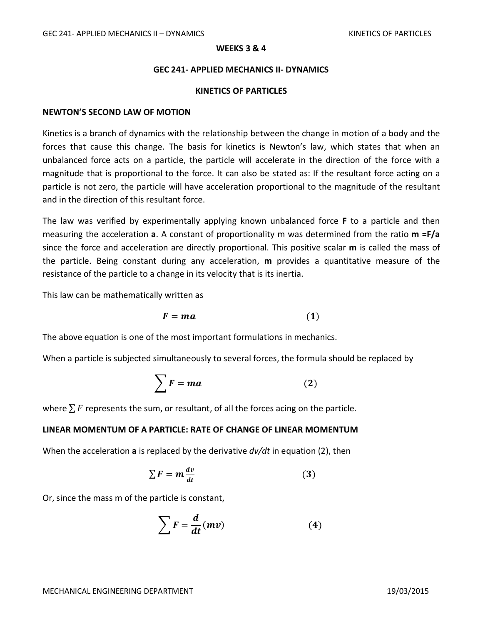## **WEEKS 3 & 4**

## **GEC 241- APPLIED MECHANICS II- DYNAMICS**

### **KINETICS OF PARTICLES**

## **NEWTON'S SECOND LAW OF MOTION**

Kinetics is a branch of dynamics with the relationship between the change in motion of a body and the forces that cause this change. The basis for kinetics is Newton's law, which states that when an unbalanced force acts on a particle, the particle will accelerate in the direction of the force with a magnitude that is proportional to the force. It can also be stated as: If the resultant force acting on a particle is not zero, the particle will have acceleration proportional to the magnitude of the resultant and in the direction of this resultant force.

The law was verified by experimentally applying known unbalanced force **F** to a particle and then measuring the acceleration **a**. A constant of proportionality m was determined from the ratio **m =F/a** since the force and acceleration are directly proportional. This positive scalar **m** is called the mass of the particle. Being constant during any acceleration, **m** provides a quantitative measure of the resistance of the particle to a change in its velocity that is its inertia.

This law can be mathematically written as

$$
F = ma \tag{1}
$$

The above equation is one of the most important formulations in mechanics.

When a particle is subjected simultaneously to several forces, the formula should be replaced by

$$
\sum \mathbf{F} = m\mathbf{a} \tag{2}
$$

where  $\sum F$  represents the sum, or resultant, of all the forces acing on the particle.

## **LINEAR MOMENTUM OF A PARTICLE: RATE OF CHANGE OF LINEAR MOMENTUM**

When the acceleration **a** is replaced by the derivative *dv/dt* in equation (2), then

$$
\sum F = m \frac{dv}{dt} \tag{3}
$$

Or, since the mass m of the particle is constant,

$$
\sum F = \frac{d}{dt}(mv) \tag{4}
$$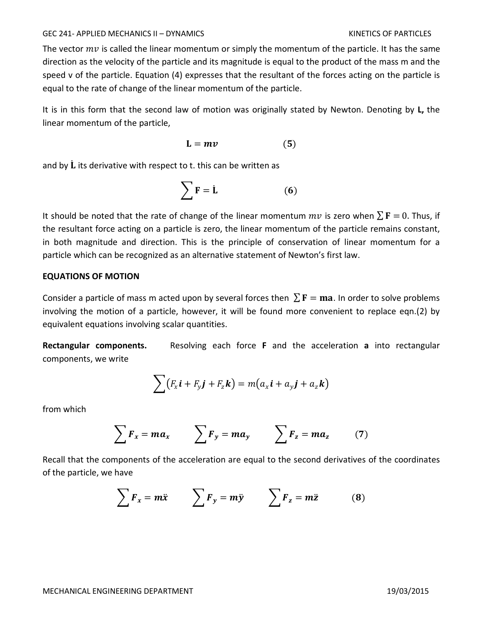#### GEC 241- APPLIED MECHANICS II – DYNAMICS KINETICS OF PARTICLES

The vector  $mv$  is called the linear momentum or simply the momentum of the particle. It has the same direction as the velocity of the particle and its magnitude is equal to the product of the mass m and the speed v of the particle. Equation (4) expresses that the resultant of the forces acting on the particle is equal to the rate of change of the linear momentum of the particle.

It is in this form that the second law of motion was originally stated by Newton. Denoting by **L,** the linear momentum of the particle,

$$
L = mv
$$
 (5)

and by  $\dot{\mathbf{L}}$  its derivative with respect to t. this can be written as

$$
\sum \mathbf{F} = \dot{\mathbf{L}} \tag{6}
$$

It should be noted that the rate of change of the linear momentum  $mv$  is zero when  $\sum \mathbf{F} = 0$ . Thus, if the resultant force acting on a particle is zero, the linear momentum of the particle remains constant, in both magnitude and direction. This is the principle of conservation of linear momentum for a particle which can be recognized as an alternative statement of Newton's first law.

## **EQUATIONS OF MOTION**

Consider a particle of mass m acted upon by several forces then  $\sum \mathbf{F} = \mathbf{ma}$ . In order to solve problems involving the motion of a particle, however, it will be found more convenient to replace eqn.(2) by equivalent equations involving scalar quantities.

**Rectangular components.** Resolving each force **F** and the acceleration **a** into rectangular components, we write

$$
\sum (F_x \mathbf{i} + F_y \mathbf{j} + F_z \mathbf{k}) = m(a_x \mathbf{i} + a_y \mathbf{j} + a_z \mathbf{k})
$$

from which

$$
\sum F_x = ma_x \qquad \sum F_y = ma_y \qquad \sum F_z = ma_z \qquad (7)
$$

Recall that the components of the acceleration are equal to the second derivatives of the coordinates of the particle, we have

$$
\sum F_x = m\ddot{x} \qquad \sum F_y = m\ddot{y} \qquad \sum F_z = m\ddot{z} \qquad (8)
$$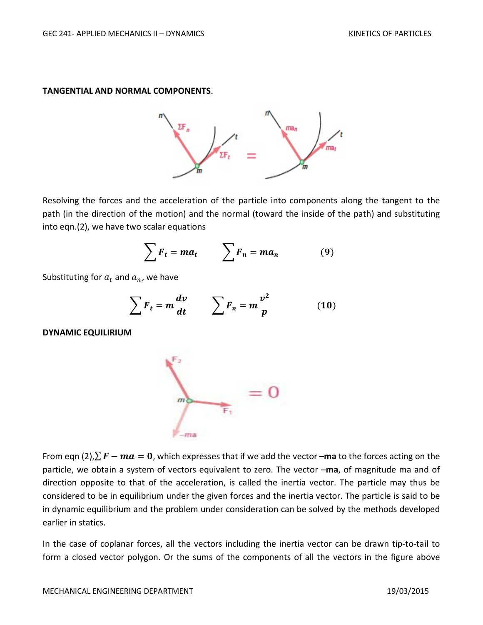## **TANGENTIAL AND NORMAL COMPONENTS**.



Resolving the forces and the acceleration of the particle into components along the tangent to the path (in the direction of the motion) and the normal (toward the inside of the path) and substituting into eqn.(2), we have two scalar equations

$$
\sum F_t = ma_t \qquad \sum F_n = ma_n \qquad (9)
$$

Substituting for  $a_t$  and  $a_n$ , we have

$$
\sum F_t = m \frac{dv}{dt} \qquad \sum F_n = m \frac{v^2}{p} \qquad (10)
$$

**DYNAMIC EQUILIRIUM**



From eqn (2), $\sum \vec{F} - m\vec{a} = 0$ , which expresses that if we add the vector –ma to the forces acting on the particle, we obtain a system of vectors equivalent to zero. The vector –**ma**, of magnitude ma and of direction opposite to that of the acceleration, is called the inertia vector. The particle may thus be considered to be in equilibrium under the given forces and the inertia vector. The particle is said to be in dynamic equilibrium and the problem under consideration can be solved by the methods developed earlier in statics.

In the case of coplanar forces, all the vectors including the inertia vector can be drawn tip-to-tail to form a closed vector polygon. Or the sums of the components of all the vectors in the figure above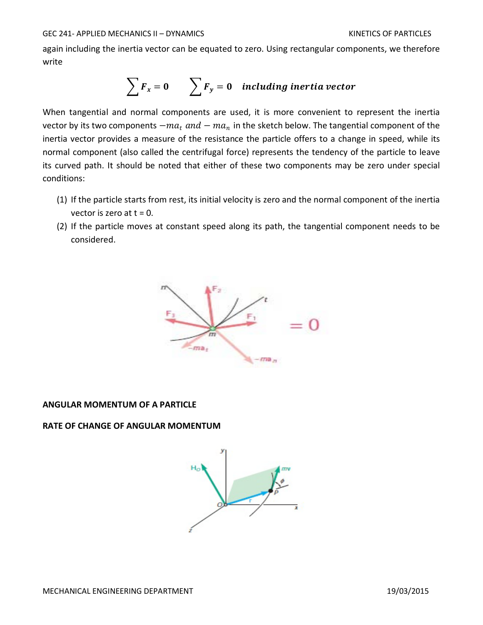again including the inertia vector can be equated to zero. Using rectangular components, we therefore write

$$
\sum F_x = 0 \qquad \sum F_y = 0 \quad including inertia vector
$$

When tangential and normal components are used, it is more convenient to represent the inertia vector by its two components  $-m a_t$  and  $-m a_n$  in the sketch below. The tangential component of the inertia vector provides a measure of the resistance the particle offers to a change in speed, while its normal component (also called the centrifugal force) represents the tendency of the particle to leave its curved path. It should be noted that either of these two components may be zero under special conditions:

- (1) If the particle starts from rest, its initial velocity is zero and the normal component of the inertia vector is zero at  $t = 0$ .
- (2) If the particle moves at constant speed along its path, the tangential component needs to be considered.



## **ANGULAR MOMENTUM OF A PARTICLE**

# **RATE OF CHANGE OF ANGULAR MOMENTUM**

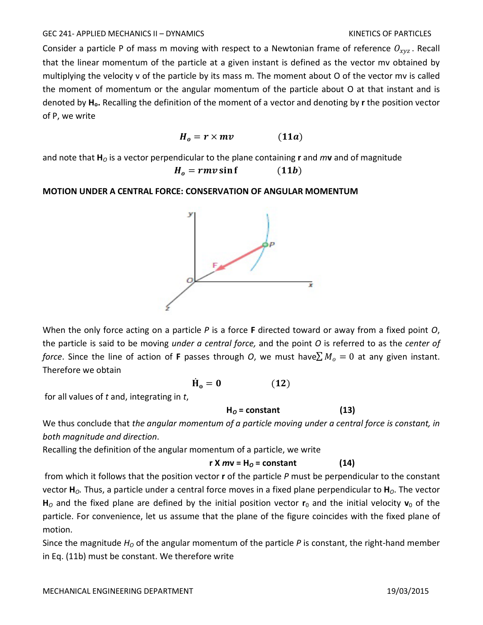## GEC 241- APPLIED MECHANICS II – DYNAMICS KINETICS OF PARTICLES

Consider a particle P of mass m moving with respect to a Newtonian frame of reference  $O_{\text{xyz}}$ . Recall that the linear momentum of the particle at a given instant is defined as the vector mv obtained by multiplying the velocity v of the particle by its mass m. The moment about O of the vector mv is called the moment of momentum or the angular momentum of the particle about O at that instant and is denoted by **Ho.** Recalling the definition of the moment of a vector and denoting by **r** the position vector of P, we write

$$
H_o = r \times mv \qquad (11a)
$$

and note that  $H_0$  is a vector perpendicular to the plane containing **r** and  $m\mathbf{v}$  and of magnitude  $H<sub>o</sub> = r m v \sin f$  (11*b*)

**MOTION UNDER A CENTRAL FORCE: CONSERVATION OF ANGULAR MOMENTUM**



When the only force acting on a particle *P* is a force **F** directed toward or away from a fixed point *O*, the particle is said to be moving *under a central force,* and the point *O* is referred to as the *center of force*. Since the line of action of **F** passes through *O*, we must have $\sum M_o = 0$  at any given instant. Therefore we obtain

$$
\dot{\mathbf{H}}_{o} = \mathbf{0} \tag{12}
$$

for all values of *t* and, integrating in *t*,

$$
H_0 = constant
$$
 (13)

We thus conclude that *the angular momentum of a particle moving under a central force is constant, in both magnitude and direction*.

Recalling the definition of the angular momentum of a particle, we write

$$
r X mv = HO = constant
$$
 (14)

from which it follows that the position vector **r** of the particle *P* must be perpendicular to the constant vector **H***O.* Thus, a particle under a central force moves in a fixed plane perpendicular to **H***O*. The vector  $H_0$  and the fixed plane are defined by the initial position vector  $r_0$  and the initial velocity  $v_0$  of the particle. For convenience, let us assume that the plane of the figure coincides with the fixed plane of motion.

Since the magnitude *H*<sub>o</sub> of the angular momentum of the particle *P* is constant, the right-hand member in Eq. (11b) must be constant. We therefore write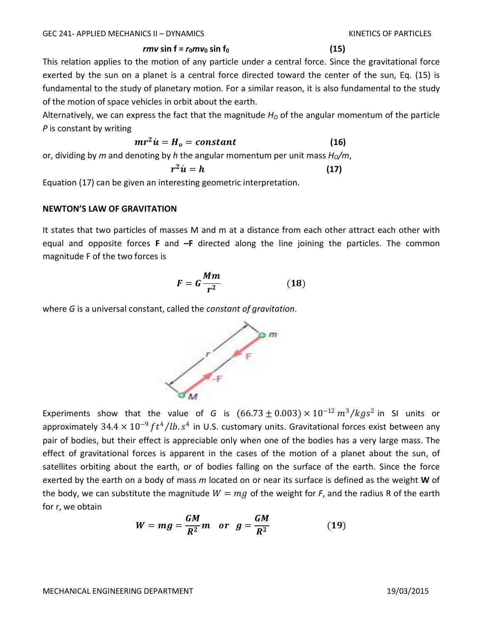# $\mathbf{r}$ *mv* sin f =  $\mathbf{r}_0 \mathbf{m} \mathbf{v}_0$  sin f<sub>0</sub> (15)

This relation applies to the motion of any particle under a central force. Since the gravitational force exerted by the sun on a planet is a central force directed toward the center of the sun, Eq. (15) is fundamental to the study of planetary motion. For a similar reason, it is also fundamental to the study of the motion of space vehicles in orbit about the earth.

Alternatively, we can express the fact that the magnitude  $H<sub>O</sub>$  of the angular momentum of the particle *P* is constant by writing

$$
mr^2\dot{u}=H_o=constant\qquad \qquad (16)
$$

or, dividing by *m* and denoting by *h* the angular momentum per unit mass  $H_0/m$ ,

$$
r^2\dot{u}=h\tag{17}
$$

Equation (17) can be given an interesting geometric interpretation.

# **NEWTON'S LAW OF GRAVITATION**

It states that two particles of masses M and m at a distance from each other attract each other with equal and opposite forces **F** and **–F** directed along the line joining the particles. The common magnitude F of the two forces is

$$
F = G \frac{Mm}{r^2} \tag{18}
$$

where *G* is a universal constant, called the *constant of gravitation*.



Experiments show that the value of *G* is  $(66.73 \pm 0.003) \times 10^{-12} m^3/kgs^2$  in SI units or approximately 34.4  $\times$  10<sup>-9</sup>  $ft^4/lb.s^4$  in U.S. customary units. Gravitational forces exist between any pair of bodies, but their effect is appreciable only when one of the bodies has a very large mass. The effect of gravitational forces is apparent in the cases of the motion of a planet about the sun, of satellites orbiting about the earth, or of bodies falling on the surface of the earth. Since the force exerted by the earth on a body of mass *m* located on or near its surface is defined as the weight **W** of the body, we can substitute the magnitude  $W = mg$  of the weight for *F*, and the radius R of the earth for r, we obtain

$$
W = mg = \frac{GM}{R^2}m \quad or \quad g = \frac{GM}{R^2} \tag{19}
$$